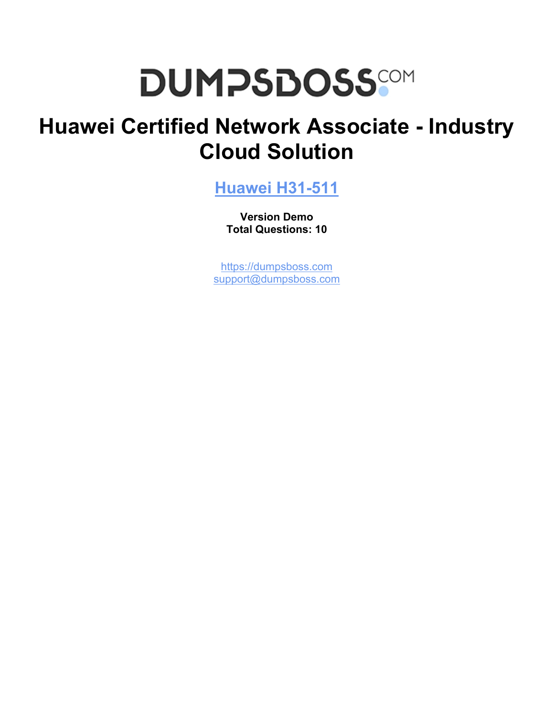# **DUMPSDOSS**

## **Huawei Certified Network Associate - Industry Cloud Solution**

**[Huawei H31-511](https://dumpsboss.com/huawei-exam/h31-511/)**

**Version Demo Total Questions: 10**

[https://dumpsboss.com](https://dumpsboss.com/) [support@dumpsboss.com](mailto:support@dumpsboss.com)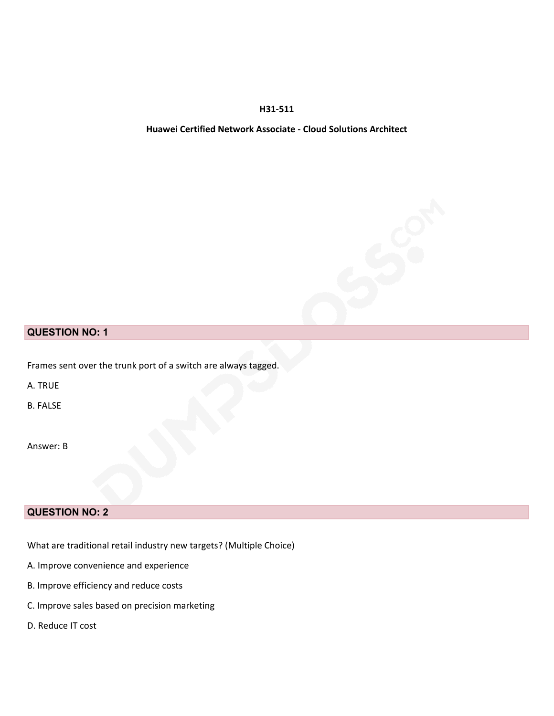#### **H31-511**

#### **Huawei Certified Network Associate - Cloud Solutions Architect**

#### **QUESTION NO: 1**

Frames sent over the trunk port of a switch are always tagged.

A. TRUE

B. FALSE

Answer: B

#### **QUESTION NO: 2**

What are traditional retail industry new targets? (Multiple Choice)

- A. Improve convenience and experience
- B. Improve efficiency and reduce costs
- C. Improve sales based on precision marketing
- D. Reduce IT cost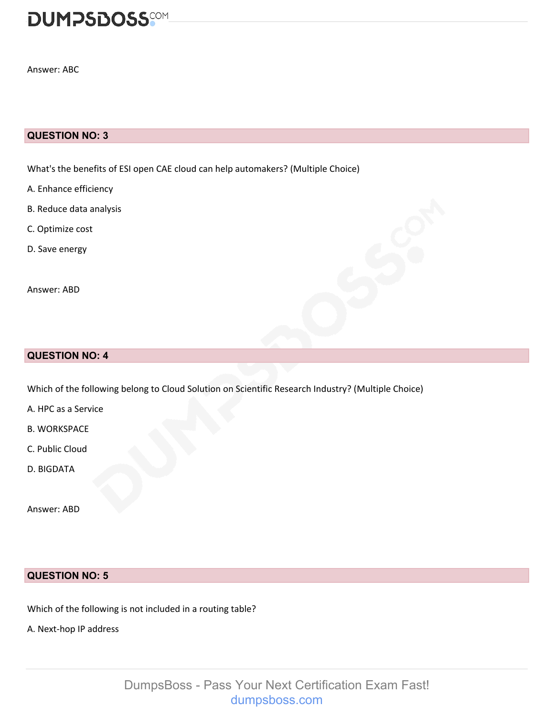

Answer: ABC

#### **QUESTION NO: 3**

What's the benefits of ESI open CAE cloud can help automakers? (Multiple Choice)

- A. Enhance efficiency
- B. Reduce data analysis
- C. Optimize cost
- D. Save energy

Answer: ABD

#### **QUESTION NO: 4**

Which of the following belong to Cloud Solution on Scientific Research Industry? (Multiple Choice)

A. HPC as a Service

B. WORKSPACE

- C. Public Cloud
- D. BIGDATA

Answer: ABD

#### **QUESTION NO: 5**

Which of the following is not included in a routing table?

A. Next-hop IP address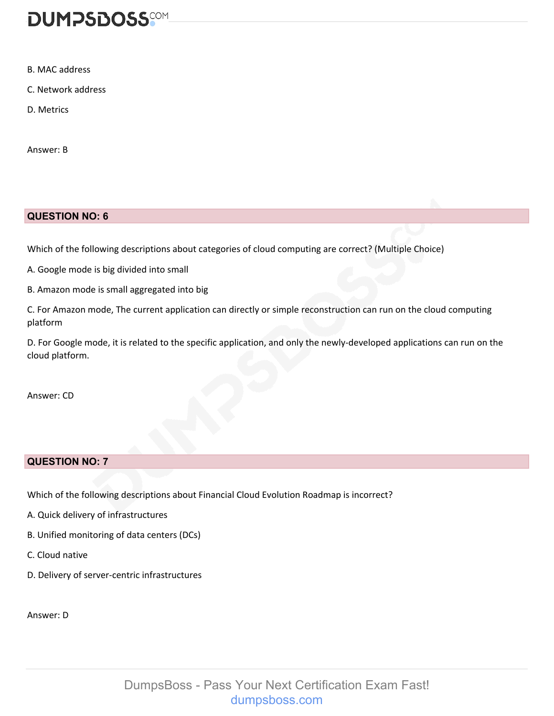

- B. MAC address
- C. Network address
- D. Metrics

Answer: B

#### **QUESTION NO: 6**

Which of the following descriptions about categories of cloud computing are correct? (Multiple Choice)

- A. Google mode is big divided into small
- B. Amazon mode is small aggregated into big

C. For Amazon mode, The current application can directly or simple reconstruction can run on the cloud computing platform

D. For Google mode, it is related to the specific application, and only the newly-developed applications can run on the cloud platform.

Answer: CD

#### **QUESTION NO: 7**

Which of the following descriptions about Financial Cloud Evolution Roadmap is incorrect?

- A. Quick delivery of infrastructures
- B. Unified monitoring of data centers (DCs)
- C. Cloud native
- D. Delivery of server-centric infrastructures

Answer: D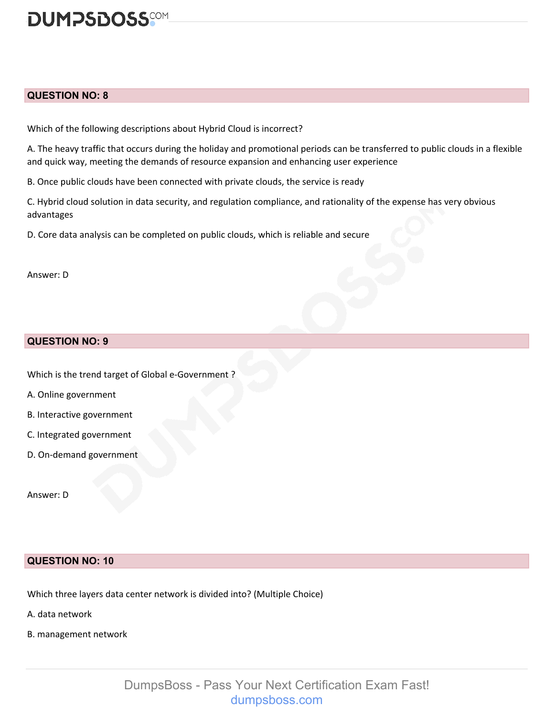

#### **QUESTION NO: 8**

Which of the following descriptions about Hybrid Cloud is incorrect?

A. The heavy traffic that occurs during the holiday and promotional periods can be transferred to public clouds in a flexible and quick way, meeting the demands of resource expansion and enhancing user experience

B. Once public clouds have been connected with private clouds, the service is ready

C. Hybrid cloud solution in data security, and regulation compliance, and rationality of the expense has very obvious advantages

D. Core data analysis can be completed on public clouds, which is reliable and secure

Answer: D

#### **QUESTION NO: 9**

Which is the trend target of Global e-Government ?

- A. Online government
- B. Interactive government
- C. Integrated government
- D. On-demand government

Answer: D

#### **QUESTION NO: 10**

Which three layers data center network is divided into? (Multiple Choice)

- A. data network
- B. management network